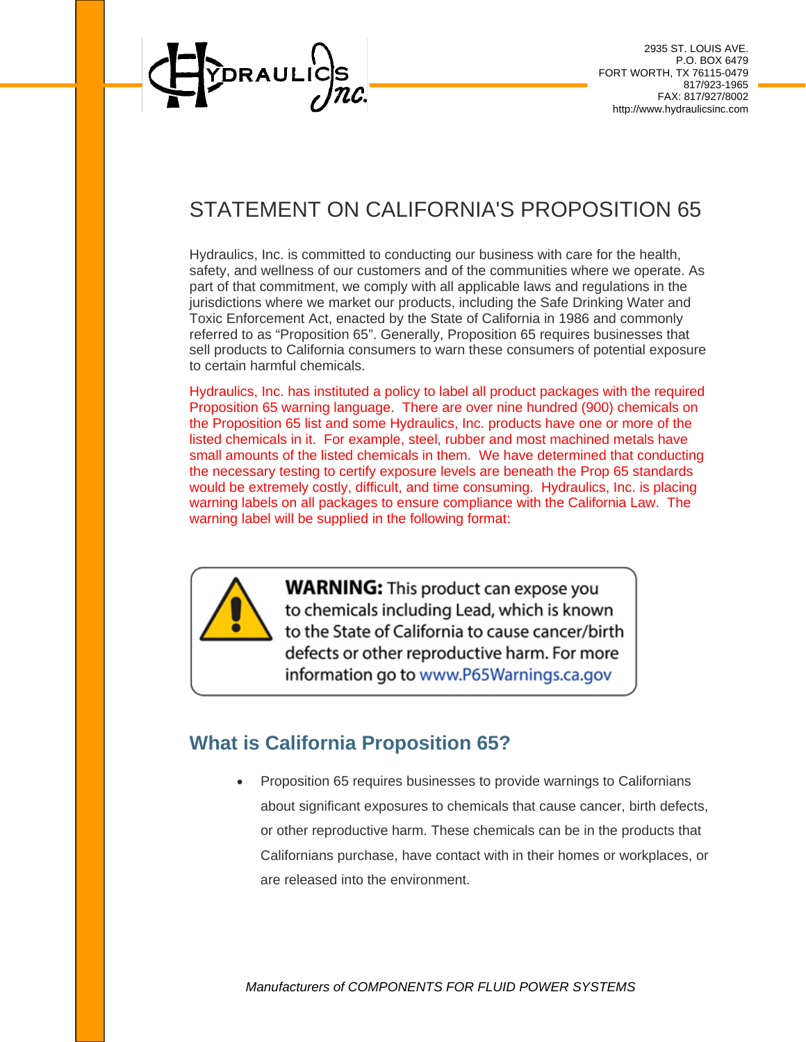

## STATEMENT ON CALIFORNIA'S PROPOSITION 65

Hydraulics, Inc. is committed to conducting our business with care for the health, safety, and wellness of our customers and of the communities where we operate. As part of that commitment, we comply with all applicable laws and regulations in the jurisdictions where we market our products, including the Safe Drinking Water and Toxic Enforcement Act, enacted by the State of California in 1986 and commonly referred to as "Proposition 65". Generally, Proposition 65 requires businesses that sell products to California consumers to warn these consumers of potential exposure to certain harmful chemicals.

Hydraulics, Inc. has instituted a policy to label all product packages with the required Proposition 65 warning language. There are over nine hundred (900) chemicals on the Proposition 65 list and some Hydraulics, Inc. products have one or more of the listed chemicals in it. For example, steel, rubber and most machined metals have small amounts of the listed chemicals in them. We have determined that conducting the necessary testing to certify exposure levels are beneath the Prop 65 standards would be extremely costly, difficult, and time consuming. Hydraulics, Inc. is placing warning labels on all packages to ensure compliance with the California Law. The warning label will be supplied in the following format:



**WARNING:** This product can expose you to chemicals including Lead, which is known to the State of California to cause cancer/birth defects or other reproductive harm. For more information go to www.P65Warnings.ca.gov

## **What is California Proposition 65?**

 Proposition 65 requires businesses to provide warnings to Californians about significant exposures to chemicals that cause cancer, birth defects, or other reproductive harm. These chemicals can be in the products that Californians purchase, have contact with in their homes or workplaces, or are released into the environment.

*Manufacturers of COMPONENTS FOR FLUID POWER SYSTEMS*